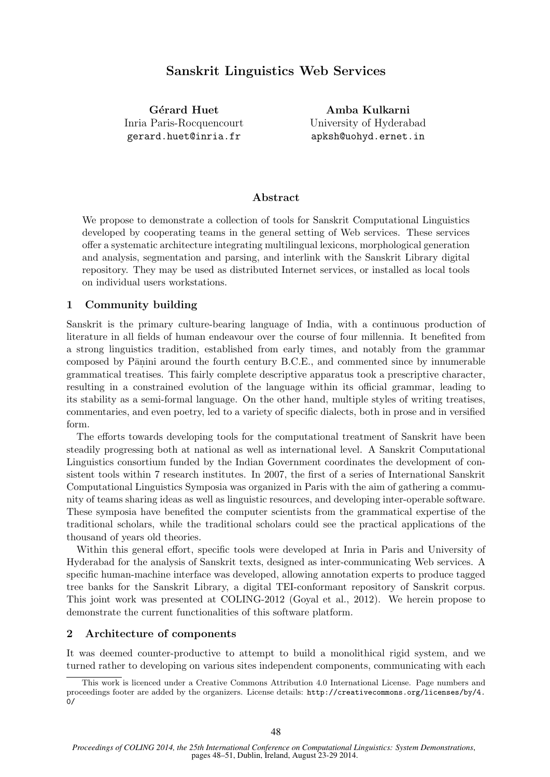# Sanskrit Linguistics Web Services

Gérard Huet Inria Paris-Rocquencourt gerard.huet@inria.fr

Amba Kulkarni University of Hyderabad apksh@uohyd.ernet.in

## Abstract

We propose to demonstrate a collection of tools for Sanskrit Computational Linguistics developed by cooperating teams in the general setting of Web services. These services offer a systematic architecture integrating multilingual lexicons, morphological generation and analysis, segmentation and parsing, and interlink with the Sanskrit Library digital repository. They may be used as distributed Internet services, or installed as local tools on individual users workstations.

## 1 Community building

Sanskrit is the primary culture-bearing language of India, with a continuous production of literature in all fields of human endeavour over the course of four millennia. It benefited from a strong linguistics tradition, established from early times, and notably from the grammar composed by Pāṇini around the fourth century B.C.E., and commented since by innumerable grammatical treatises. This fairly complete descriptive apparatus took a prescriptive character, resulting in a constrained evolution of the language within its official grammar, leading to its stability as a semi-formal language. On the other hand, multiple styles of writing treatises, commentaries, and even poetry, led to a variety of specific dialects, both in prose and in versified form.

The efforts towards developing tools for the computational treatment of Sanskrit have been steadily progressing both at national as well as international level. A Sanskrit Computational Linguistics consortium funded by the Indian Government coordinates the development of consistent tools within 7 research institutes. In 2007, the first of a series of International Sanskrit Computational Linguistics Symposia was organized in Paris with the aim of gathering a community of teams sharing ideas as well as linguistic resources, and developing inter-operable software. These symposia have benefited the computer scientists from the grammatical expertise of the traditional scholars, while the traditional scholars could see the practical applications of the thousand of years old theories.

Within this general effort, specific tools were developed at Inria in Paris and University of Hyderabad for the analysis of Sanskrit texts, designed as inter-communicating Web services. A specific human-machine interface was developed, allowing annotation experts to produce tagged tree banks for the Sanskrit Library, a digital TEI-conformant repository of Sanskrit corpus. This joint work was presented at COLING-2012 (Goyal et al., 2012). We herein propose to demonstrate the current functionalities of this software platform.

### 2 Architecture of components

It was deemed counter-productive to attempt to build a monolithical rigid system, and we turned rather to developing on various sites independent components, communicating with each

This work is licenced under a Creative Commons Attribution 4.0 International License. Page numbers and proceedings footer are added by the organizers. License details: http://creativecommons.org/licenses/by/4. 0/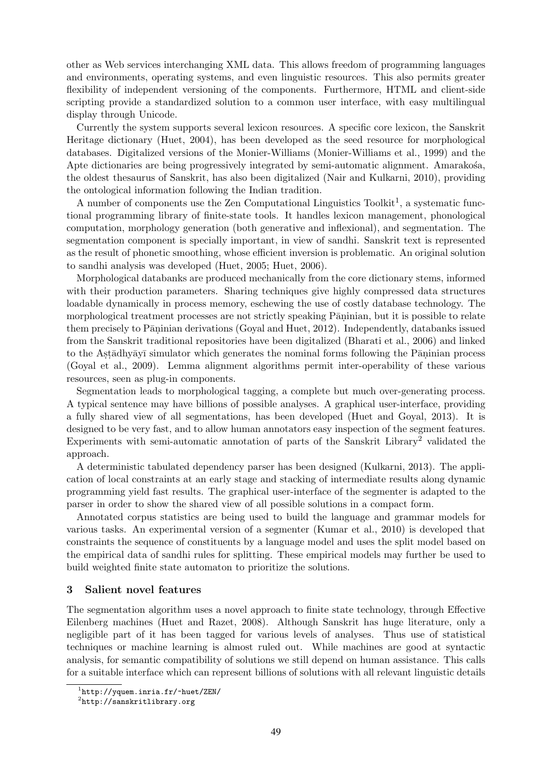other as Web services interchanging XML data. This allows freedom of programming languages and environments, operating systems, and even linguistic resources. This also permits greater flexibility of independent versioning of the components. Furthermore, HTML and client-side scripting provide a standardized solution to a common user interface, with easy multilingual display through Unicode.

Currently the system supports several lexicon resources. A specific core lexicon, the Sanskrit Heritage dictionary (Huet, 2004), has been developed as the seed resource for morphological databases. Digitalized versions of the Monier-Williams (Monier-Williams et al., 1999) and the Apte dictionaries are being progressively integrated by semi-automatic alignment. Amarakosa, the oldest thesaurus of Sanskrit, has also been digitalized (Nair and Kulkarni, 2010), providing the ontological information following the Indian tradition.

A number of components use the Zen Computational Linguistics Toolkit<sup>1</sup>, a systematic functional programming library of finite-state tools. It handles lexicon management, phonological computation, morphology generation (both generative and inflexional), and segmentation. The segmentation component is specially important, in view of sandhi. Sanskrit text is represented as the result of phonetic smoothing, whose efficient inversion is problematic. An original solution to sandhi analysis was developed (Huet, 2005; Huet, 2006).

Morphological databanks are produced mechanically from the core dictionary stems, informed with their production parameters. Sharing techniques give highly compressed data structures loadable dynamically in process memory, eschewing the use of costly database technology. The morphological treatment processes are not strictly speaking Pāninian, but it is possible to relate them precisely to Pāṇinian derivations (Goyal and Huet, 2012). Independently, databanks issued from the Sanskrit traditional repositories have been digitalized (Bharati et al., 2006) and linked to the Astadhyayī simulator which generates the nominal forms following the Paninian process (Goyal et al., 2009). Lemma alignment algorithms permit inter-operability of these various resources, seen as plug-in components.

Segmentation leads to morphological tagging, a complete but much over-generating process. A typical sentence may have billions of possible analyses. A graphical user-interface, providing a fully shared view of all segmentations, has been developed (Huet and Goyal, 2013). It is designed to be very fast, and to allow human annotators easy inspection of the segment features. Experiments with semi-automatic annotation of parts of the Sanskrit Library<sup>2</sup> validated the approach.

A deterministic tabulated dependency parser has been designed (Kulkarni, 2013). The application of local constraints at an early stage and stacking of intermediate results along dynamic programming yield fast results. The graphical user-interface of the segmenter is adapted to the parser in order to show the shared view of all possible solutions in a compact form.

Annotated corpus statistics are being used to build the language and grammar models for various tasks. An experimental version of a segmenter (Kumar et al., 2010) is developed that constraints the sequence of constituents by a language model and uses the split model based on the empirical data of sandhi rules for splitting. These empirical models may further be used to build weighted finite state automaton to prioritize the solutions.

### 3 Salient novel features

The segmentation algorithm uses a novel approach to finite state technology, through Effective Eilenberg machines (Huet and Razet, 2008). Although Sanskrit has huge literature, only a negligible part of it has been tagged for various levels of analyses. Thus use of statistical techniques or machine learning is almost ruled out. While machines are good at syntactic analysis, for semantic compatibility of solutions we still depend on human assistance. This calls for a suitable interface which can represent billions of solutions with all relevant linguistic details

<sup>1</sup> http://yquem.inria.fr/~huet/ZEN/

<sup>2</sup> http://sanskritlibrary.org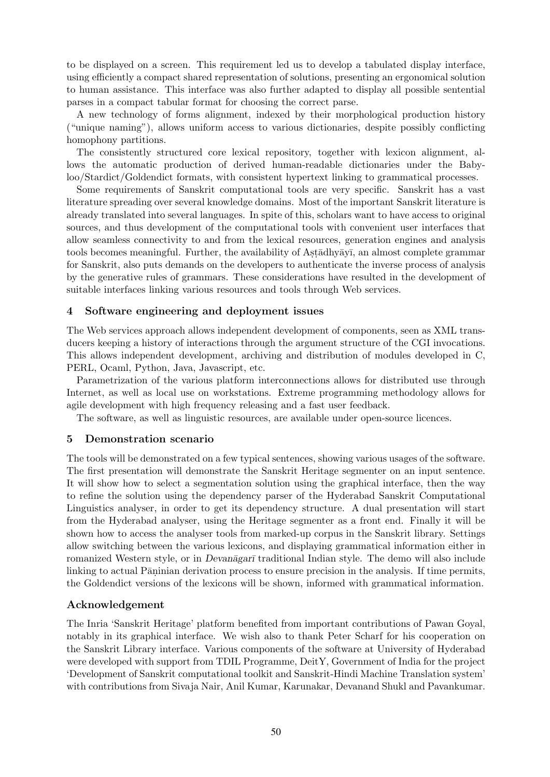to be displayed on a screen. This requirement led us to develop a tabulated display interface, using efficiently a compact shared representation of solutions, presenting an ergonomical solution to human assistance. This interface was also further adapted to display all possible sentential parses in a compact tabular format for choosing the correct parse.

A new technology of forms alignment, indexed by their morphological production history ("unique naming"), allows uniform access to various dictionaries, despite possibly conflicting homophony partitions.

The consistently structured core lexical repository, together with lexicon alignment, allows the automatic production of derived human-readable dictionaries under the Babyloo/Stardict/Goldendict formats, with consistent hypertext linking to grammatical processes.

Some requirements of Sanskrit computational tools are very specific. Sanskrit has a vast literature spreading over several knowledge domains. Most of the important Sanskrit literature is already translated into several languages. In spite of this, scholars want to have access to original sources, and thus development of the computational tools with convenient user interfaces that allow seamless connectivity to and from the lexical resources, generation engines and analysis tools becomes meaningful. Further, the availability of Astadhyayī, an almost complete grammar for Sanskrit, also puts demands on the developers to authenticate the inverse process of analysis by the generative rules of grammars. These considerations have resulted in the development of suitable interfaces linking various resources and tools through Web services.

## 4 Software engineering and deployment issues

The Web services approach allows independent development of components, seen as XML transducers keeping a history of interactions through the argument structure of the CGI invocations. This allows independent development, archiving and distribution of modules developed in C, PERL, Ocaml, Python, Java, Javascript, etc.

Parametrization of the various platform interconnections allows for distributed use through Internet, as well as local use on workstations. Extreme programming methodology allows for agile development with high frequency releasing and a fast user feedback.

The software, as well as linguistic resources, are available under open-source licences.

## 5 Demonstration scenario

The tools will be demonstrated on a few typical sentences, showing various usages of the software. The first presentation will demonstrate the Sanskrit Heritage segmenter on an input sentence. It will show how to select a segmentation solution using the graphical interface, then the way to refine the solution using the dependency parser of the Hyderabad Sanskrit Computational Linguistics analyser, in order to get its dependency structure. A dual presentation will start from the Hyderabad analyser, using the Heritage segmenter as a front end. Finally it will be shown how to access the analyser tools from marked-up corpus in the Sanskrit library. Settings allow switching between the various lexicons, and displaying grammatical information either in romanized Western style, or in *Devanāgar*ī traditional Indian style. The demo will also include linking to actual Pāṇinian derivation process to ensure precision in the analysis. If time permits, the Goldendict versions of the lexicons will be shown, informed with grammatical information.

## Acknowledgement

The Inria 'Sanskrit Heritage' platform benefited from important contributions of Pawan Goyal, notably in its graphical interface. We wish also to thank Peter Scharf for his cooperation on the Sanskrit Library interface. Various components of the software at University of Hyderabad were developed with support from TDIL Programme, DeitY, Government of India for the project 'Development of Sanskrit computational toolkit and Sanskrit-Hindi Machine Translation system' with contributions from Sivaja Nair, Anil Kumar, Karunakar, Devanand Shukl and Pavankumar.